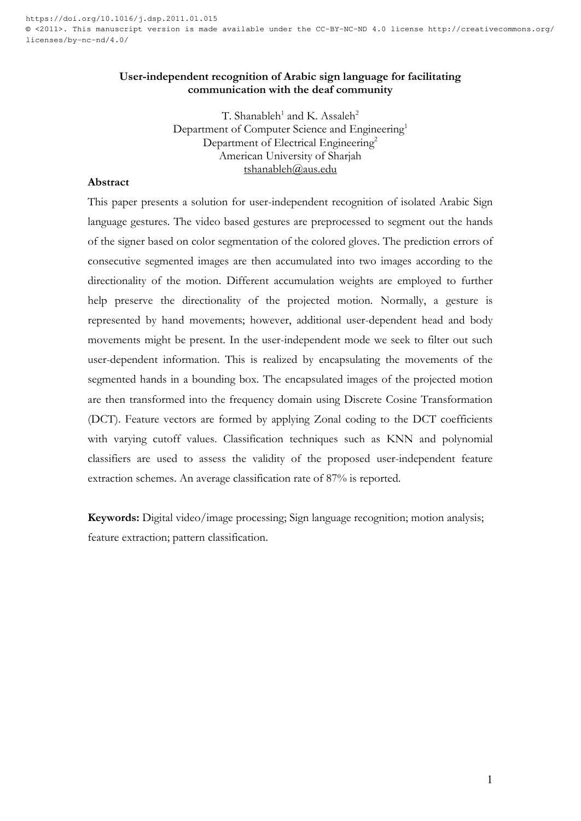# **User-independent recognition of Arabic sign language for facilitating communication with the deaf community**

T. Shanableh<sup>1</sup> and K. Assaleh<sup>2</sup> Department of Computer Science and Engineering<sup>1</sup> Department of Electrical Engineering<sup>2</sup> American University of Sharjah [tshanableh@aus.edu](mailto:tshanableh@aus.edu) 

# **Abstract**

This paper presents a solution for user-independent recognition of isolated Arabic Sign language gestures. The video based gestures are preprocessed to segment out the hands of the signer based on color segmentation of the colored gloves. The prediction errors of consecutive segmented images are then accumulated into two images according to the directionality of the motion. Different accumulation weights are employed to further help preserve the directionality of the projected motion. Normally, a gesture is represented by hand movements; however, additional user-dependent head and body movements might be present. In the user-independent mode we seek to filter out such user-dependent information. This is realized by encapsulating the movements of the segmented hands in a bounding box. The encapsulated images of the projected motion are then transformed into the frequency domain using Discrete Cosine Transformation (DCT). Feature vectors are formed by applying Zonal coding to the DCT coefficients with varying cutoff values. Classification techniques such as KNN and polynomial classifiers are used to assess the validity of the proposed user-independent feature extraction schemes. An average classification rate of 87% is reported.

**Keywords:** Digital video/image processing; Sign language recognition; motion analysis; feature extraction; pattern classification.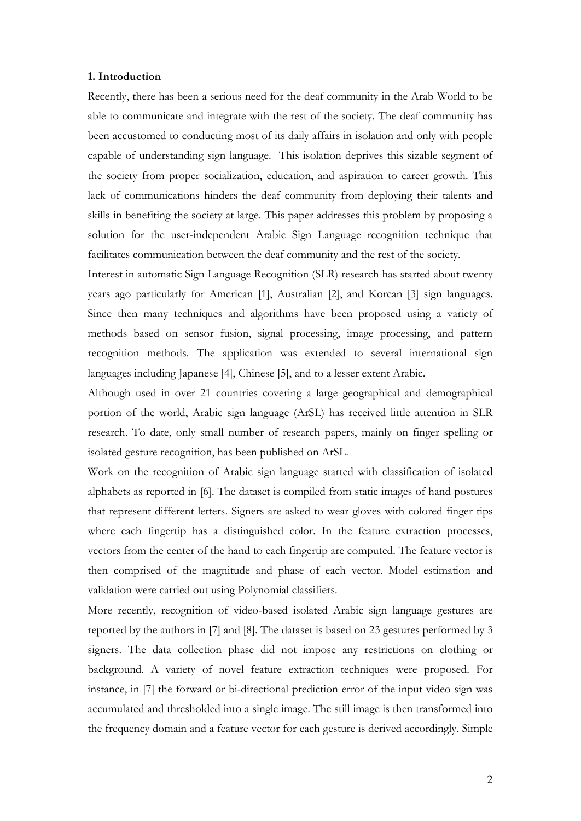#### **1. Introduction**

Recently, there has been a serious need for the deaf community in the Arab World to be able to communicate and integrate with the rest of the society. The deaf community has been accustomed to conducting most of its daily affairs in isolation and only with people capable of understanding sign language. This isolation deprives this sizable segment of the society from proper socialization, education, and aspiration to career growth. This lack of communications hinders the deaf community from deploying their talents and skills in benefiting the society at large. This paper addresses this problem by proposing a solution for the user-independent Arabic Sign Language recognition technique that facilitates communication between the deaf community and the rest of the society.

Interest in automatic Sign Language Recognition (SLR) research has started about twenty years ago particularly for American [1], Australian [2], and Korean [3] sign languages. Since then many techniques and algorithms have been proposed using a variety of methods based on sensor fusion, signal processing, image processing, and pattern recognition methods. The application was extended to several international sign languages including Japanese [4], Chinese [5], and to a lesser extent Arabic.

Although used in over 21 countries covering a large geographical and demographical portion of the world, Arabic sign language (ArSL) has received little attention in SLR research. To date, only small number of research papers, mainly on finger spelling or isolated gesture recognition, has been published on ArSL.

Work on the recognition of Arabic sign language started with classification of isolated alphabets as reported in [6]. The dataset is compiled from static images of hand postures that represent different letters. Signers are asked to wear gloves with colored finger tips where each fingertip has a distinguished color. In the feature extraction processes, vectors from the center of the hand to each fingertip are computed. The feature vector is then comprised of the magnitude and phase of each vector. Model estimation and validation were carried out using Polynomial classifiers.

More recently, recognition of video-based isolated Arabic sign language gestures are reported by the authors in [7] and [8]. The dataset is based on 23 gestures performed by 3 signers. The data collection phase did not impose any restrictions on clothing or background. A variety of novel feature extraction techniques were proposed. For instance, in [7] the forward or bi-directional prediction error of the input video sign was accumulated and thresholded into a single image. The still image is then transformed into the frequency domain and a feature vector for each gesture is derived accordingly. Simple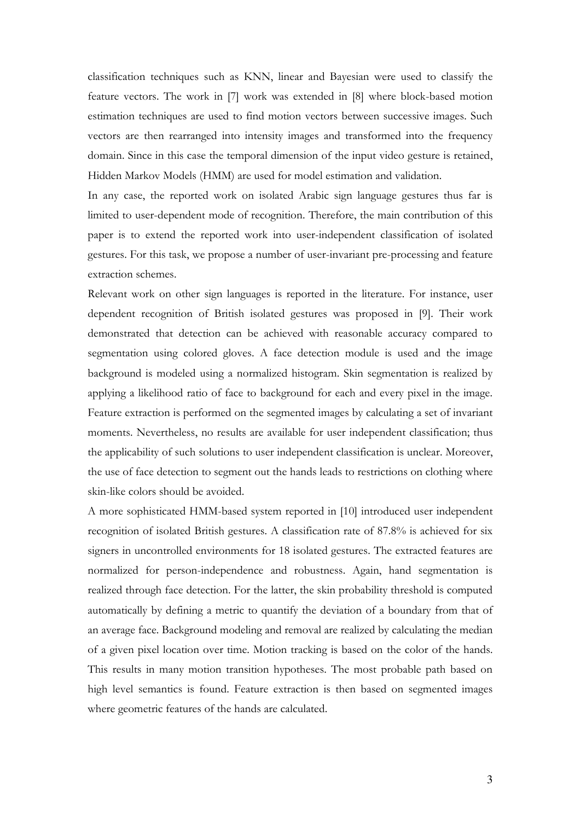classification techniques such as KNN, linear and Bayesian were used to classify the feature vectors. The work in [7] work was extended in [8] where block-based motion estimation techniques are used to find motion vectors between successive images. Such vectors are then rearranged into intensity images and transformed into the frequency domain. Since in this case the temporal dimension of the input video gesture is retained, Hidden Markov Models (HMM) are used for model estimation and validation.

In any case, the reported work on isolated Arabic sign language gestures thus far is limited to user-dependent mode of recognition. Therefore, the main contribution of this paper is to extend the reported work into user-independent classification of isolated gestures. For this task, we propose a number of user-invariant pre-processing and feature extraction schemes.

Relevant work on other sign languages is reported in the literature. For instance, user dependent recognition of British isolated gestures was proposed in [9]. Their work demonstrated that detection can be achieved with reasonable accuracy compared to segmentation using colored gloves. A face detection module is used and the image background is modeled using a normalized histogram. Skin segmentation is realized by applying a likelihood ratio of face to background for each and every pixel in the image. Feature extraction is performed on the segmented images by calculating a set of invariant moments. Nevertheless, no results are available for user independent classification; thus the applicability of such solutions to user independent classification is unclear. Moreover, the use of face detection to segment out the hands leads to restrictions on clothing where skin-like colors should be avoided.

A more sophisticated HMM-based system reported in [10] introduced user independent recognition of isolated British gestures. A classification rate of 87.8% is achieved for six signers in uncontrolled environments for 18 isolated gestures. The extracted features are normalized for person-independence and robustness. Again, hand segmentation is realized through face detection. For the latter, the skin probability threshold is computed automatically by defining a metric to quantify the deviation of a boundary from that of an average face. Background modeling and removal are realized by calculating the median of a given pixel location over time. Motion tracking is based on the color of the hands. This results in many motion transition hypotheses. The most probable path based on high level semantics is found. Feature extraction is then based on segmented images where geometric features of the hands are calculated.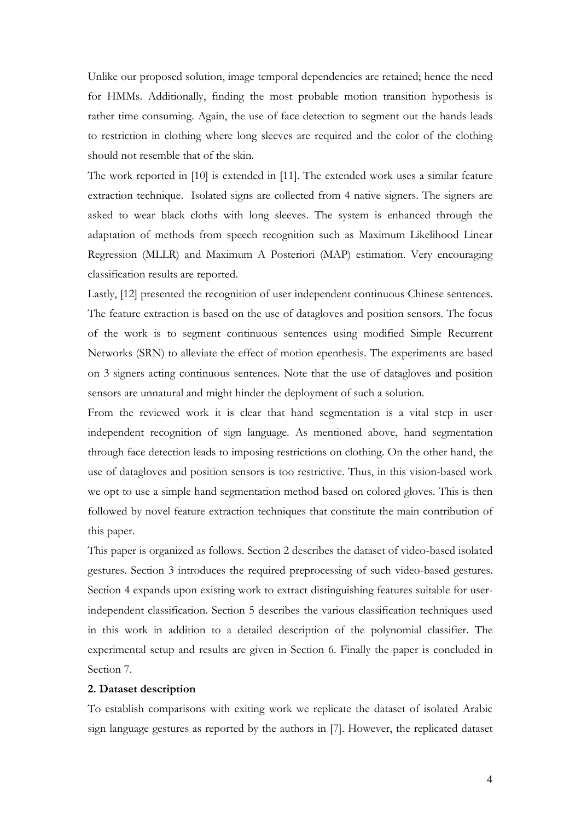Unlike our proposed solution, image temporal dependencies are retained; hence the need for HMMs. Additionally, finding the most probable motion transition hypothesis is rather time consuming. Again, the use of face detection to segment out the hands leads to restriction in clothing where long sleeves are required and the color of the clothing should not resemble that of the skin.

The work reported in [10] is extended in [11]. The extended work uses a similar feature extraction technique. Isolated signs are collected from 4 native signers. The signers are asked to wear black cloths with long sleeves. The system is enhanced through the adaptation of methods from speech recognition such as Maximum Likelihood Linear Regression (MLLR) and Maximum A Posteriori (MAP) estimation. Very encouraging classification results are reported.

Lastly, [12] presented the recognition of user independent continuous Chinese sentences. The feature extraction is based on the use of datagloves and position sensors. The focus of the work is to segment continuous sentences using modified Simple Recurrent Networks (SRN) to alleviate the effect of motion epenthesis. The experiments are based on 3 signers acting continuous sentences. Note that the use of datagloves and position sensors are unnatural and might hinder the deployment of such a solution.

From the reviewed work it is clear that hand segmentation is a vital step in user independent recognition of sign language. As mentioned above, hand segmentation through face detection leads to imposing restrictions on clothing. On the other hand, the use of datagloves and position sensors is too restrictive. Thus, in this vision-based work we opt to use a simple hand segmentation method based on colored gloves. This is then followed by novel feature extraction techniques that constitute the main contribution of this paper.

This paper is organized as follows. Section 2 describes the dataset of video-based isolated gestures. Section 3 introduces the required preprocessing of such video-based gestures. Section 4 expands upon existing work to extract distinguishing features suitable for userindependent classification. Section 5 describes the various classification techniques used in this work in addition to a detailed description of the polynomial classifier. The experimental setup and results are given in Section 6. Finally the paper is concluded in Section 7.

#### **2. Dataset description**

To establish comparisons with exiting work we replicate the dataset of isolated Arabic sign language gestures as reported by the authors in [7]. However, the replicated dataset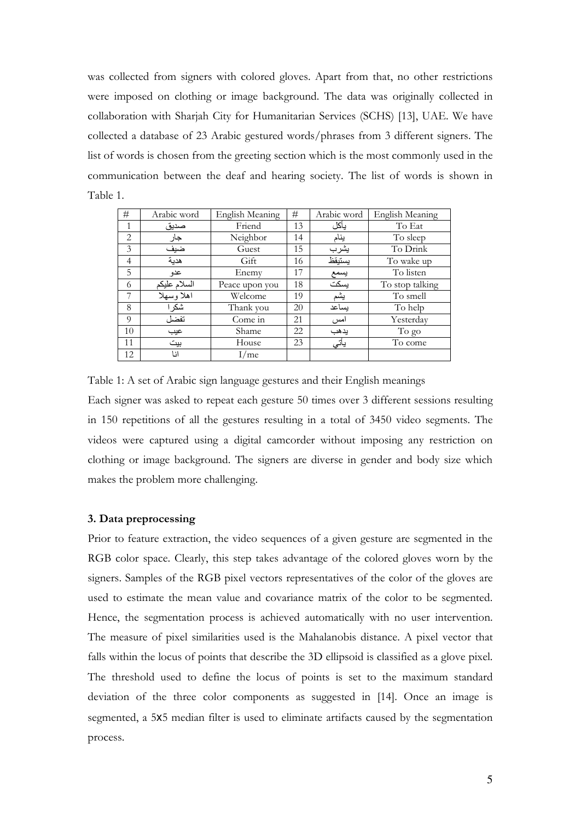was collected from signers with colored gloves. Apart from that, no other restrictions were imposed on clothing or image background. The data was originally collected in collaboration with Sharjah City for Humanitarian Services (SCHS) [13], UAE. We have collected a database of 23 Arabic gestured words/phrases from 3 different signers. The list of words is chosen from the greeting section which is the most commonly used in the communication between the deaf and hearing society. The list of words is shown in Table 1.

| #              | Arabic word  | English Meaning | #  | Arabic word | English Meaning |
|----------------|--------------|-----------------|----|-------------|-----------------|
| $\mathbf{1}$   |              | Friend          | 13 |             | To Eat          |
|                | صديق         |                 |    | يأكل        |                 |
| $\overline{2}$ | جار          | Neighbor        | 14 | ينام        | To sleep        |
| 3              | ضيف          | Guest           | 15 | يشرب        | To Drink        |
| $\overline{4}$ | هدية         | Gift            | 16 | يستيقظ      | To wake up      |
| 5              | عدو          | Enemy           | 17 | يسمع        | To listen       |
| 6              | السلام عليكم | Peace upon you  | 18 | يسكت        | To stop talking |
|                | اهلا وسهلا   | Welcome         | 19 | يشم         | To smell        |
| 8              | شکر ا        | Thank you       | 20 | بساعد       | To help         |
| 9              | تفضا         | Come in         | 21 | امس         | Yesterday       |
| 10             | عيب          | Shame           | 22 | يدهب        | To go           |
| 11             | بیت          | House           | 23 | يأتي        | To come         |
| 12             | انا          | I/me            |    |             |                 |

Table 1: A set of Arabic sign language gestures and their English meanings

Each signer was asked to repeat each gesture 50 times over 3 different sessions resulting in 150 repetitions of all the gestures resulting in a total of 3450 video segments. The videos were captured using a digital camcorder without imposing any restriction on clothing or image background. The signers are diverse in gender and body size which makes the problem more challenging.

# **3. Data preprocessing**

Prior to feature extraction, the video sequences of a given gesture are segmented in the RGB color space. Clearly, this step takes advantage of the colored gloves worn by the signers. Samples of the RGB pixel vectors representatives of the color of the gloves are used to estimate the mean value and covariance matrix of the color to be segmented. Hence, the segmentation process is achieved automatically with no user intervention. The measure of pixel similarities used is the Mahalanobis distance. A pixel vector that falls within the locus of points that describe the 3D ellipsoid is classified as a glove pixel. The threshold used to define the locus of points is set to the maximum standard deviation of the three color components as suggested in [14]. Once an image is segmented, a 5x5 median filter is used to eliminate artifacts caused by the segmentation process.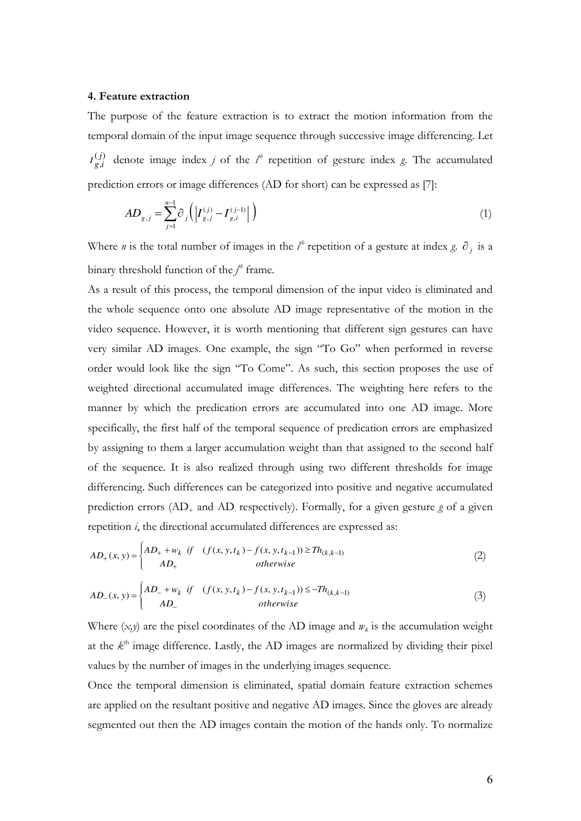#### **4. Feature extraction**

The purpose of the feature extraction is to extract the motion information from the temporal domain of the input image sequence through successive image differencing. Let  $(j)$ , *j*  $I_{g,i}^{(J)}$  denote image index *j* of the *i*<sup>th</sup> repetition of gesture index *g*. The accumulated prediction errors or image differences (AD for short) can be expressed as [7]:

$$
AD_{g,j} = \sum_{j=1}^{n-1} \partial_j \left( \left| I_{g,j}^{(j)} - I_{g,i}^{(j-1)} \right| \right) \tag{1}
$$

Where *n* is the total number of images in the  $i^b$  repetition of a gesture at index *g*.  $\partial_i$  is a binary threshold function of the  $j^{\#}$  frame.

As a result of this process, the temporal dimension of the input video is eliminated and the whole sequence onto one absolute AD image representative of the motion in the video sequence. However, it is worth mentioning that different sign gestures can have very similar AD images. One example, the sign "To Go" when performed in reverse order would look like the sign "To Come". As such, this section proposes the use of weighted directional accumulated image differences. The weighting here refers to the manner by which the predication errors are accumulated into one AD image. More specifically, the first half of the temporal sequence of predication errors are emphasized by assigning to them a larger accumulation weight than that assigned to the second half of the sequence. It is also realized through using two different thresholds for image differencing. Such differences can be categorized into positive and negative accumulated prediction errors (AD<sub>+</sub> and AD<sub>-</sub> respectively). Formally, for a given gesture *g* of a given repetition *i*, the directional accumulated differences are expressed as:

$$
AD_{+}(x, y) = \begin{cases} AD_{+} + w_{k} & \text{if } (f(x, y, t_{k}) - f(x, y, t_{k-1})) \ge Th_{(k, k-1)} \\ AD_{+} & \text{otherwise} \end{cases}
$$
 (2)

$$
AD_{-}(x, y) = \begin{cases} AD_{-} + w_{k} & \text{if } (f(x, y, t_{k}) - f(x, y, t_{k-1})) \leq -Th_{(k, k-1)} \\ AD_{-} & \text{otherwise} \end{cases}
$$
(3)

Where  $(x, y)$  are the pixel coordinates of the AD image and  $w_k$  is the accumulation weight at the  $k^{\text{th}}$  image difference. Lastly, the AD images are normalized by dividing their pixel values by the number of images in the underlying images sequence.

Once the temporal dimension is eliminated, spatial domain feature extraction schemes are applied on the resultant positive and negative AD images. Since the gloves are already segmented out then the AD images contain the motion of the hands only. To normalize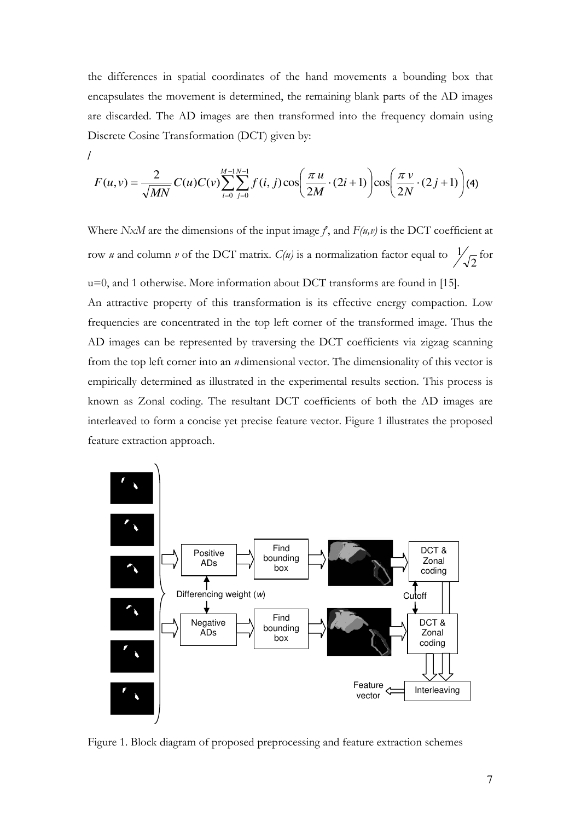the differences in spatial coordinates of the hand movements a bounding box that encapsulates the movement is determined, the remaining blank parts of the AD images are discarded. The AD images are then transformed into the frequency domain using Discrete Cosine Transformation (DCT) given by:

$$
F(u,v) = \frac{2}{\sqrt{MN}} C(u)C(v) \sum_{i=0}^{M-1} \sum_{j=0}^{N-1} f(i, j) \cos\left(\frac{\pi u}{2M} \cdot (2i+1)\right) \cos\left(\frac{\pi v}{2N} \cdot (2j+1)\right)
$$
(4)

/

Where *NxM* are the dimensions of the input image  $f$ , and  $F(u,v)$  is the DCT coefficient at row *u* and column *v* of the DCT matrix. *C(u)* is a normalization factor equal to 2  $\frac{1}{6}$  for u=0, and 1 otherwise. More information about DCT transforms are found in [15].

An attractive property of this transformation is its effective energy compaction. Low frequencies are concentrated in the top left corner of the transformed image. Thus the AD images can be represented by traversing the DCT coefficients via zigzag scanning from the top left corner into an *n* dimensional vector. The dimensionality of this vector is empirically determined as illustrated in the experimental results section. This process is known as Zonal coding. The resultant DCT coefficients of both the AD images are interleaved to form a concise yet precise feature vector. Figure 1 illustrates the proposed feature extraction approach.



Figure 1. Block diagram of proposed preprocessing and feature extraction schemes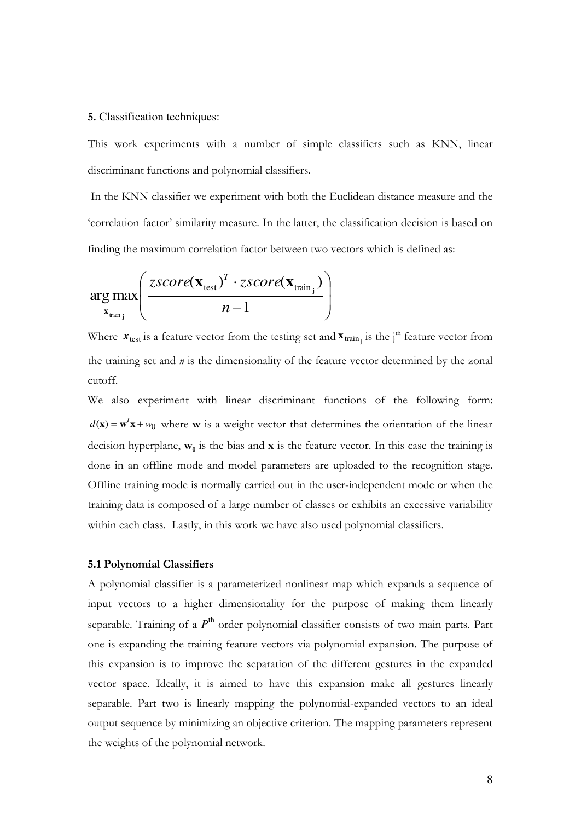#### **5.** Classification techniques:

This work experiments with a number of simple classifiers such as KNN, linear discriminant functions and polynomial classifiers.

 In the KNN classifier we experiment with both the Euclidean distance measure and the 'correlation factor' similarity measure. In the latter, the classification decision is based on finding the maximum correlation factor between two vectors which is defined as:

$$
\arg \max_{\mathbf{x}_{\text{train}_j}} \left( \frac{z \text{score}(\mathbf{x}_{\text{test}})^T \cdot z \text{score}(\mathbf{x}_{\text{train}_j})}{n-1} \right)
$$

Where  $x_{\text{test}}$  is a feature vector from the testing set and  $x_{\text{train}_j}$  is the j<sup>th</sup> feature vector from the training set and *n* is the dimensionality of the feature vector determined by the zonal cutoff.

We also experiment with linear discriminant functions of the following form:  $d(\mathbf{x}) = \mathbf{w}^t \mathbf{x} + w_0$  where **w** is a weight vector that determines the orientation of the linear decision hyperplane,  $w_0$  is the bias and  $x$  is the feature vector. In this case the training is done in an offline mode and model parameters are uploaded to the recognition stage. Offline training mode is normally carried out in the user-independent mode or when the training data is composed of a large number of classes or exhibits an excessive variability within each class. Lastly, in this work we have also used polynomial classifiers.

# **5.1 Polynomial Classifiers**

A polynomial classifier is a parameterized nonlinear map which expands a sequence of input vectors to a higher dimensionality for the purpose of making them linearly separable. Training of a P<sup>th</sup> order polynomial classifier consists of two main parts. Part one is expanding the training feature vectors via polynomial expansion. The purpose of this expansion is to improve the separation of the different gestures in the expanded vector space. Ideally, it is aimed to have this expansion make all gestures linearly separable. Part two is linearly mapping the polynomial-expanded vectors to an ideal output sequence by minimizing an objective criterion. The mapping parameters represent the weights of the polynomial network.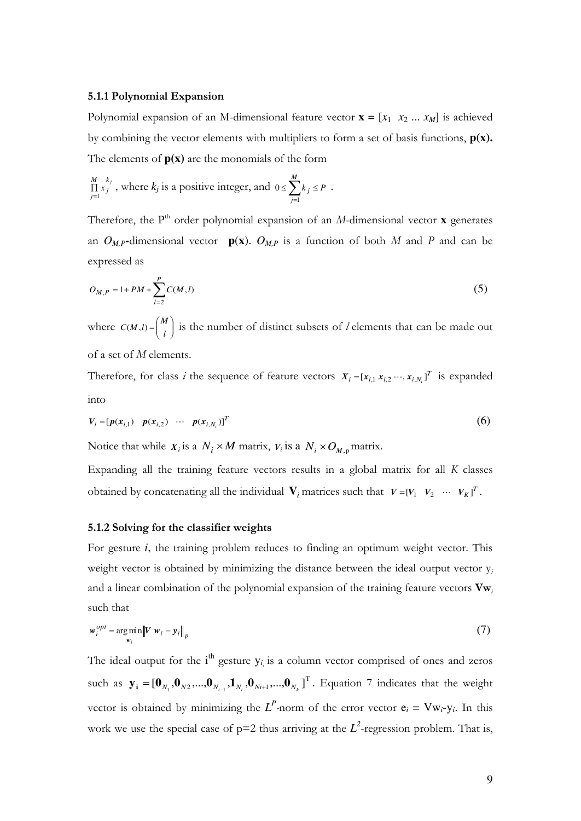#### **5.1.1 Polynomial Expansion**

Polynomial expansion of an M-dimensional feature vector  $\mathbf{x} = [x_1 \ x_2 \ ... \ x_M]$  is achieved by combining the vector elements with multipliers to form a set of basis functions, **p(x).**  The elements of **p(x)** are the monomials of the form

$$
\prod_{j=1}^{M} x_j^{k_j}
$$
, where  $k_j$  is a positive integer, and  $0 \le \sum_{j=1}^{M} k_j \le P$ .

Therefore, the  $P<sup>th</sup>$  order polynomial expansion of an *M*-dimensional vector **x** generates an  $O_{MP}$ **-**dimensional vector  $p(x)$ .  $O_{MP}$  is a function of both *M* and *P* and can be expressed as

$$
O_{M,P} = 1 + PM + \sum_{l=2}^{P} C(M,l)
$$
\n(5)

where  $C(M,l) = \left| \begin{array}{c} M \\ l \end{array} \right|$ J Ì  $\parallel$ l  $=\left(\begin{array}{c} h \\ l \end{array}\right)$  $C(M,l) = \binom{M}{l}$  is the number of distinct subsets of *l* elements that can be made out of a set of *M* elements.

Therefore, for class *i* the sequence of feature vectors  $X_i = [x_{i,1}, x_{i,2}, \dots, x_{i,N_i}]^T$  is expanded into

$$
V_i = [p(x_{i,1}) \quad p(x_{i,2}) \quad \cdots \quad p(x_{i,N_i})]^T
$$
\n(6)

Notice that while  $X_i$  is a  $N_i \times M$  matrix,  $V_i$  is a  $N_i \times O_{M,p}$  matrix.

Expanding all the training feature vectors results in a global matrix for all *K* classes obtained by concatenating all the individual  $\mathbf{V}_i$  matrices such that  $V = [V_1 \quad V_2 \quad \cdots \quad V_K]^T$ .

# **5.1.2 Solving for the classifier weights**

For gesture *i*, the training problem reduces to finding an optimum weight vector. This weight vector is obtained by minimizing the distance between the ideal output vector y*<sup>i</sup>* and a linear combination of the polynomial expansion of the training feature vectors **Vw***<sup>i</sup>* such that

$$
\mathbf{w}_i^{opt} = \underset{\mathbf{w}_i}{\arg \min} \left\| V \ \mathbf{w}_i - \mathbf{y}_i \right\|_p \tag{7}
$$

The ideal output for the i<sup>th</sup> gesture  $y_i$  is a column vector comprised of ones and zeros such as  $\mathbf{y}_i = [\mathbf{0}_{N_1}, \mathbf{0}_{N_2}, ..., \mathbf{0}_{N_{i-1}}, \mathbf{1}_{N_i}, \mathbf{0}_{N_{i+1}}, ..., \mathbf{0}_{N_k}]^T$ . Equation 7 indicates that the weight vector is obtained by minimizing the  $L^P$ -norm of the error vector  $e_i = Vw_i - y_i$ . In this work we use the special case of  $p=2$  thus arriving at the  $L^2$ -regression problem. That is,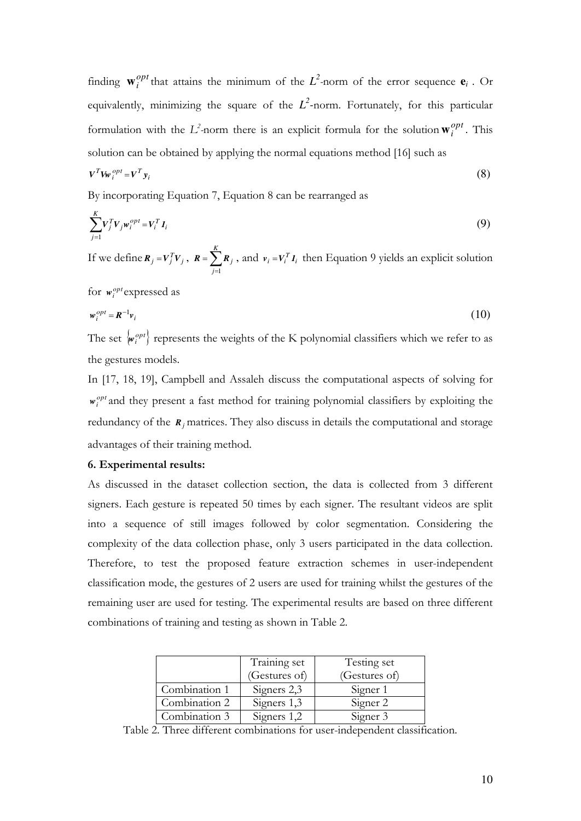finding  $\mathbf{w}_i^{opt}$  that attains the minimum of the  $L^2$ -norm of the error sequence  $\mathbf{e}_i$ . Or equivalently, minimizing the square of the  $L^2$ -norm. Fortunately, for this particular formulation with the  $L^2$ -norm there is an explicit formula for the solution  $\mathbf{w}_i^{opt}$ . This solution can be obtained by applying the normal equations method [16] such as

$$
\boldsymbol{V}^T \boldsymbol{W}_i^{opt} = \boldsymbol{V}^T \boldsymbol{y}_i \tag{8}
$$

By incorporating Equation 7, Equation 8 can be rearranged as

$$
\sum_{j=1}^{K} V_j^T V_j w_i^{opt} = V_i^T I_i
$$
\n(9)

If we define  $\mathbf{R}_j = \mathbf{V}_j^T \mathbf{V}_j$ ,  $\mathbf{R} = \sum_{j=1}^N$ *K j j* 1  $R = \sum R_i$ , and  $v_i = V_i^T I_i$  then Equation 9 yields an explicit solution

for 
$$
w_i^{opt}
$$
 expressed as

$$
\mathbf{w}_i^{opt} = \mathbf{R}^{-1} \mathbf{v}_i \tag{10}
$$

The set  $\{w_i^{opt}\}$  represents the weights of the K polynomial classifiers which we refer to as the gestures models.

In [17, 18, 19], Campbell and Assaleh discuss the computational aspects of solving for  $w_i^{opt}$  and they present a fast method for training polynomial classifiers by exploiting the redundancy of the  $R_j$  matrices. They also discuss in details the computational and storage advantages of their training method.

# **6. Experimental results:**

As discussed in the dataset collection section, the data is collected from 3 different signers. Each gesture is repeated 50 times by each signer. The resultant videos are split into a sequence of still images followed by color segmentation. Considering the complexity of the data collection phase, only 3 users participated in the data collection. Therefore, to test the proposed feature extraction schemes in user-independent classification mode, the gestures of 2 users are used for training whilst the gestures of the remaining user are used for testing. The experimental results are based on three different combinations of training and testing as shown in Table 2.

|               | Training set<br>(Gestures of) | Testing set<br>(Gestures of) |
|---------------|-------------------------------|------------------------------|
| Combination 1 | Signers 2,3                   | Signer 1                     |
| Combination 2 | Signers 1,3                   | Signer 2                     |
| Combination 3 | Signers 1,2                   | Signer 3                     |

Table 2. Three different combinations for user-independent classification.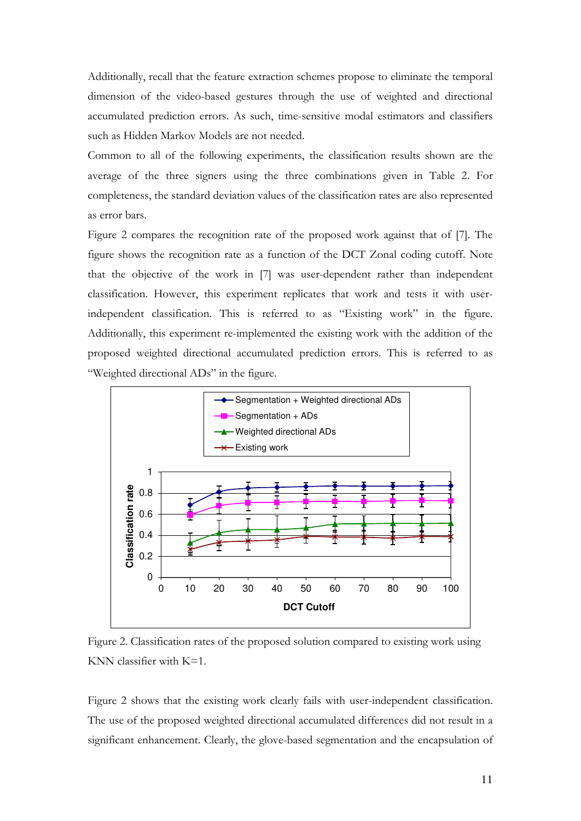Additionally, recall that the feature extraction schemes propose to eliminate the temporal dimension of the video-based gestures through the use of weighted and directional accumulated prediction errors. As such, time-sensitive modal estimators and classifiers such as Hidden Markov Models are not needed.

Common to all of the following experiments, the classification results shown are the average of the three signers using the three combinations given in Table 2. For completeness, the standard deviation values of the classification rates are also represented as error bars.

Figure 2 compares the recognition rate of the proposed work against that of [7]. The figure shows the recognition rate as a function of the DCT Zonal coding cutoff. Note that the objective of the work in [7] was user-dependent rather than independent classification. However, this experiment replicates that work and tests it with userindependent classification. This is referred to as "Existing work" in the figure. Additionally, this experiment re-implemented the existing work with the addition of the proposed weighted directional accumulated prediction errors. This is referred to as "Weighted directional ADs" in the figure.



Figure 2. Classification rates of the proposed solution compared to existing work using KNN classifier with K=1.

Figure 2 shows that the existing work clearly fails with user-independent classification. The use of the proposed weighted directional accumulated differences did not result in a significant enhancement. Clearly, the glove-based segmentation and the encapsulation of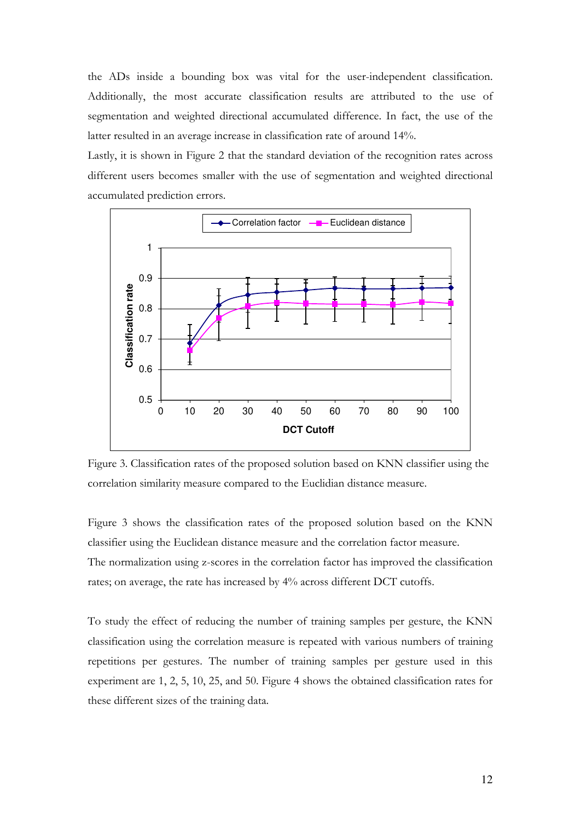the ADs inside a bounding box was vital for the user-independent classification. Additionally, the most accurate classification results are attributed to the use of segmentation and weighted directional accumulated difference. In fact, the use of the latter resulted in an average increase in classification rate of around 14%.

Lastly, it is shown in Figure 2 that the standard deviation of the recognition rates across different users becomes smaller with the use of segmentation and weighted directional accumulated prediction errors.



Figure 3. Classification rates of the proposed solution based on KNN classifier using the correlation similarity measure compared to the Euclidian distance measure.

Figure 3 shows the classification rates of the proposed solution based on the KNN classifier using the Euclidean distance measure and the correlation factor measure. The normalization using z-scores in the correlation factor has improved the classification rates; on average, the rate has increased by 4% across different DCT cutoffs.

To study the effect of reducing the number of training samples per gesture, the KNN classification using the correlation measure is repeated with various numbers of training repetitions per gestures. The number of training samples per gesture used in this experiment are 1, 2, 5, 10, 25, and 50. Figure 4 shows the obtained classification rates for these different sizes of the training data.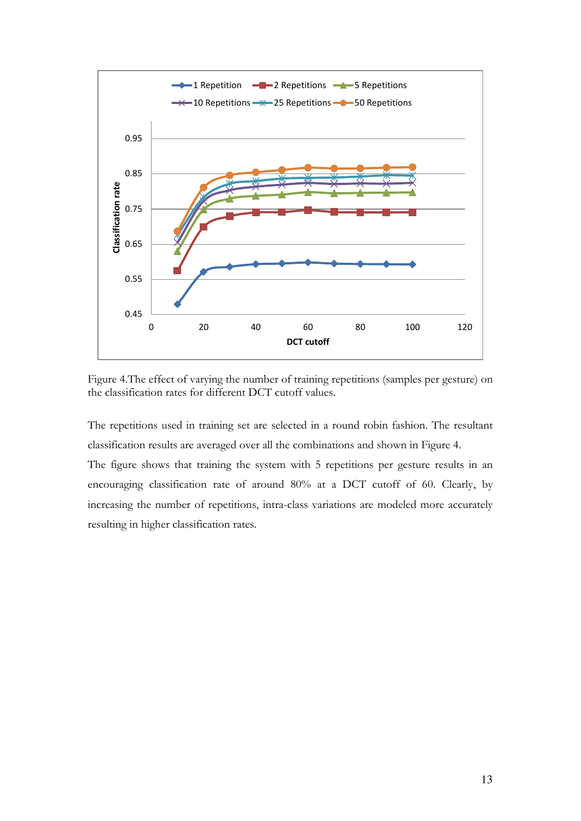

Figure 4.The effect of varying the number of training repetitions (samples per gesture) on the classification rates for different DCT cutoff values.

The repetitions used in training set are selected in a round robin fashion. The resultant classification results are averaged over all the combinations and shown in Figure 4.

The figure shows that training the system with 5 repetitions per gesture results in an encouraging classification rate of around 80% at a DCT cutoff of 60. Clearly, by increasing the number of repetitions, intra-class variations are modeled more accurately resulting in higher classification rates.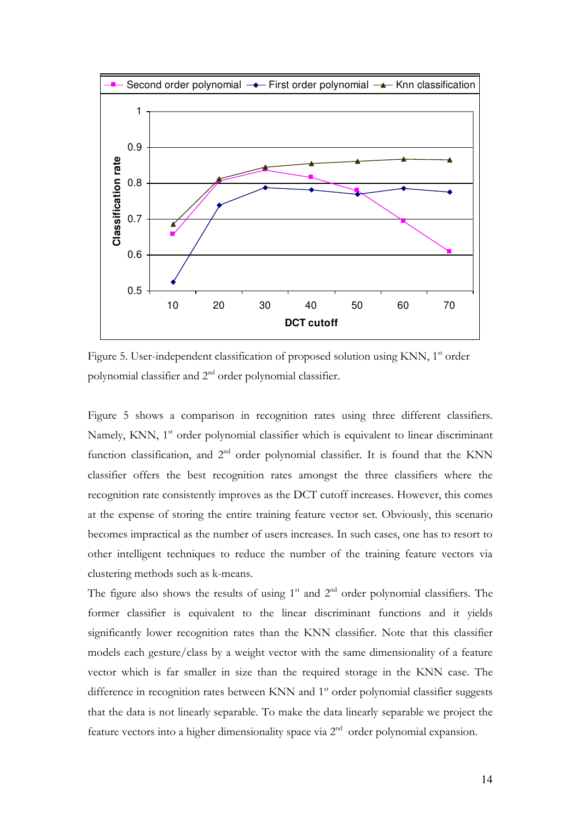

Figure 5. User-independent classification of proposed solution using KNN, 1<sup>st</sup> order polynomial classifier and 2nd order polynomial classifier.

Figure 5 shows a comparison in recognition rates using three different classifiers. Namely, KNN, 1<sup>st</sup> order polynomial classifier which is equivalent to linear discriminant function classification, and  $2<sup>nd</sup>$  order polynomial classifier. It is found that the KNN classifier offers the best recognition rates amongst the three classifiers where the recognition rate consistently improves as the DCT cutoff increases. However, this comes at the expense of storing the entire training feature vector set. Obviously, this scenario becomes impractical as the number of users increases. In such cases, one has to resort to other intelligent techniques to reduce the number of the training feature vectors via clustering methods such as k-means.

The figure also shows the results of using  $1<sup>st</sup>$  and  $2<sup>nd</sup>$  order polynomial classifiers. The former classifier is equivalent to the linear discriminant functions and it yields significantly lower recognition rates than the KNN classifier. Note that this classifier models each gesture/class by a weight vector with the same dimensionality of a feature vector which is far smaller in size than the required storage in the KNN case. The difference in recognition rates between KNN and 1<sup>st</sup> order polynomial classifier suggests that the data is not linearly separable. To make the data linearly separable we project the feature vectors into a higher dimensionality space via  $2<sup>nd</sup>$  order polynomial expansion.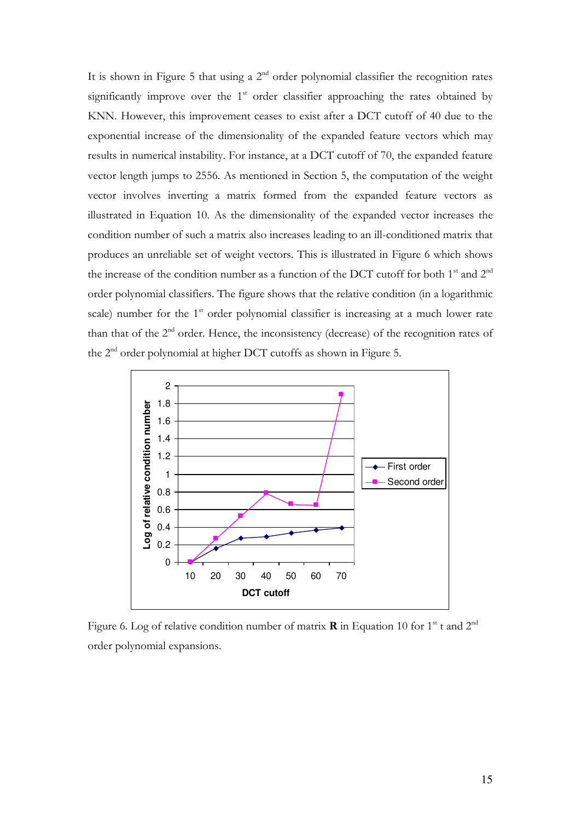It is shown in Figure 5 that using a  $2<sup>nd</sup>$  order polynomial classifier the recognition rates significantly improve over the  $1<sup>st</sup>$  order classifier approaching the rates obtained by KNN. However, this improvement ceases to exist after a DCT cutoff of 40 due to the exponential increase of the dimensionality of the expanded feature vectors which may results in numerical instability. For instance, at a DCT cutoff of 70, the expanded feature vector length jumps to 2556. As mentioned in Section 5, the computation of the weight vector involves inverting a matrix formed from the expanded feature vectors as illustrated in Equation 10. As the dimensionality of the expanded vector increases the condition number of such a matrix also increases leading to an ill-conditioned matrix that produces an unreliable set of weight vectors. This is illustrated in Figure 6 which shows the increase of the condition number as a function of the DCT cutoff for both  $1<sup>st</sup>$  and  $2<sup>nd</sup>$ order polynomial classifiers. The figure shows that the relative condition (in a logarithmic scale) number for the  $1<sup>st</sup>$  order polynomial classifier is increasing at a much lower rate than that of the 2<sup>nd</sup> order. Hence, the inconsistency (decrease) of the recognition rates of the 2<sup>nd</sup> order polynomial at higher DCT cutoffs as shown in Figure 5.



Figure 6. Log of relative condition number of matrix  $\bf{R}$  in Equation 10 for 1<sup>st</sup> t and 2<sup>nd</sup> order polynomial expansions.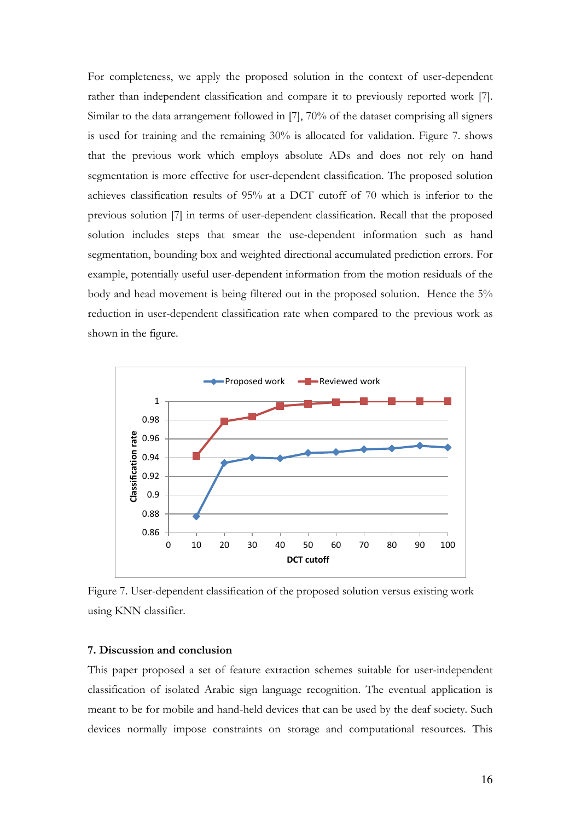For completeness, we apply the proposed solution in the context of user-dependent rather than independent classification and compare it to previously reported work [7]. Similar to the data arrangement followed in [7], 70% of the dataset comprising all signers is used for training and the remaining 30% is allocated for validation. Figure 7. shows that the previous work which employs absolute ADs and does not rely on hand segmentation is more effective for user-dependent classification. The proposed solution achieves classification results of 95% at a DCT cutoff of 70 which is inferior to the previous solution [7] in terms of user-dependent classification. Recall that the proposed solution includes steps that smear the use-dependent information such as hand segmentation, bounding box and weighted directional accumulated prediction errors. For example, potentially useful user-dependent information from the motion residuals of the body and head movement is being filtered out in the proposed solution. Hence the 5% reduction in user-dependent classification rate when compared to the previous work as shown in the figure.



Figure 7. User-dependent classification of the proposed solution versus existing work using KNN classifier.

### **7. Discussion and conclusion**

This paper proposed a set of feature extraction schemes suitable for user-independent classification of isolated Arabic sign language recognition. The eventual application is meant to be for mobile and hand-held devices that can be used by the deaf society. Such devices normally impose constraints on storage and computational resources. This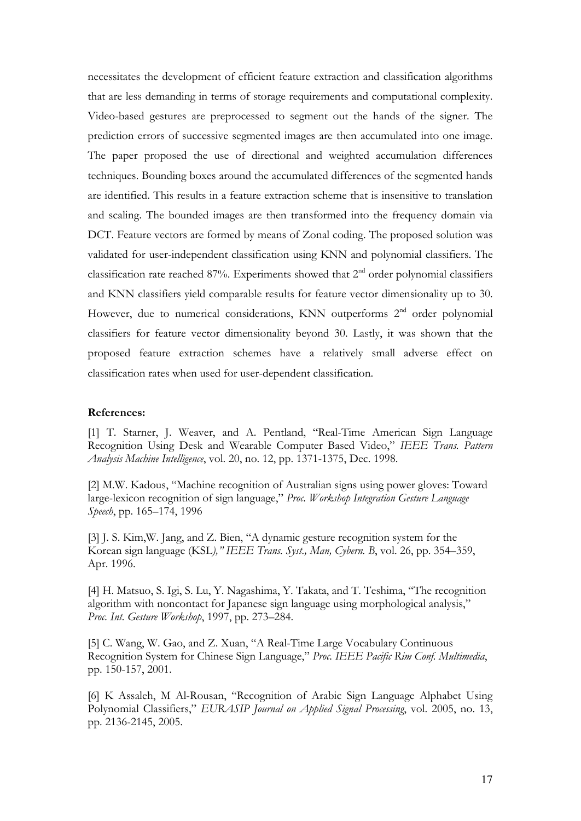necessitates the development of efficient feature extraction and classification algorithms that are less demanding in terms of storage requirements and computational complexity. Video-based gestures are preprocessed to segment out the hands of the signer. The prediction errors of successive segmented images are then accumulated into one image. The paper proposed the use of directional and weighted accumulation differences techniques. Bounding boxes around the accumulated differences of the segmented hands are identified. This results in a feature extraction scheme that is insensitive to translation and scaling. The bounded images are then transformed into the frequency domain via DCT. Feature vectors are formed by means of Zonal coding. The proposed solution was validated for user-independent classification using KNN and polynomial classifiers. The classification rate reached 87%. Experiments showed that  $2<sup>nd</sup>$  order polynomial classifiers and KNN classifiers yield comparable results for feature vector dimensionality up to 30. However, due to numerical considerations, KNN outperforms 2<sup>nd</sup> order polynomial classifiers for feature vector dimensionality beyond 30. Lastly, it was shown that the proposed feature extraction schemes have a relatively small adverse effect on classification rates when used for user-dependent classification.

### **References:**

[1] T. Starner, J. Weaver, and A. Pentland, "Real-Time American Sign Language Recognition Using Desk and Wearable Computer Based Video," *IEEE Trans. Pattern Analysis Machine Intelligence*, vol. 20, no. 12, pp. 1371-1375, Dec. 1998.

[2] M.W. Kadous, "Machine recognition of Australian signs using power gloves: Toward large-lexicon recognition of sign language," *Proc. Workshop Integration Gesture Language Speech*, pp. 165–174, 1996

[3] J. S. Kim,W. Jang, and Z. Bien, "A dynamic gesture recognition system for the Korean sign language (KSL*)," IEEE Trans. Syst., Man, Cybern. B*, vol. 26, pp. 354–359, Apr. 1996.

[4] H. Matsuo, S. Igi, S. Lu, Y. Nagashima, Y. Takata, and T. Teshima, "The recognition algorithm with noncontact for Japanese sign language using morphological analysis," *Proc. Int. Gesture Workshop*, 1997, pp. 273–284.

[5] C. Wang, W. Gao, and Z. Xuan, "A Real-Time Large Vocabulary Continuous Recognition System for Chinese Sign Language," *Proc. IEEE Pacific Rim Conf. Multimedia*, pp. 150-157, 2001.

[6] K Assaleh, M Al-Rousan, "Recognition of Arabic Sign Language Alphabet Using Polynomial Classifiers," *EURASIP Journal on Applied Signal Processing*, vol. 2005, no. 13, pp. 2136-2145, 2005.